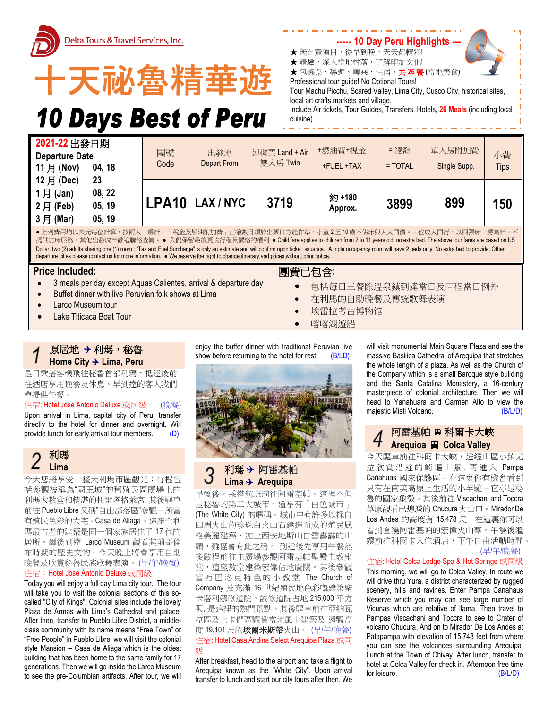



# **10 Days Best of Peru**



- ★ 無自費項目,從早到晚, 天天都精彩!
- ★ 體驗、深入當地村落,了解印加文化!
- **★** 包機票、導遊、轉乘、住宿、共26餐(當地美食)
- Professional tour guide! No Optional Tours!

Tour Machu Picchu, Scared Valley, Lima City, Cusco City, historical sites, local art crafts markets and village.

Include Air tickets, Tour Guides, Transfers, Hotels**, 26 Meals** (including local cuisine)

| $1$ 月 (Jan)<br>08, 22<br>約+180<br>LPA10 LAX/NYC<br>3719<br>899<br>3899<br>150<br>$2$ 月 (Feb)<br>05, 19<br>Approx.<br>$3$ 月 (Mar)<br>05, 19 | 2021-22 出發日期<br><b>Departure Date</b><br>11 月 (Nov)<br>04, 18 | 團號<br>Code | 出發地<br>Depart From | 連機票 Land + Air<br>雙人房 Twin | +燃油費+稅金<br>+FUEL +TAX | = 總額<br>$=$ TOTAL | 單人房附加費<br>Single Supp. | 小費<br><b>Tips</b> |
|--------------------------------------------------------------------------------------------------------------------------------------------|---------------------------------------------------------------|------------|--------------------|----------------------------|-----------------------|-------------------|------------------------|-------------------|
|                                                                                                                                            | $12 \n\mathsf{F}$ (Dec)<br>23                                 |            |                    |                            |                       |                   |                        |                   |

提供加床服務。其他出發城市歡迎聯絡查詢。● 我們保留最後更改行程及價格的權利 ● Child fare applies to children from 2 to 11 years old, no extra bed. The above tour fares are based on US Dollar, two (2) adults sharing one (1) room ; "Tax and Fuel Surcharge" is only an estimate and will confirm upon ticket issuance. A triple occupancy room will have 2 beds only. No extra bed to provide. Other departure cities please contact us for more information. ● We reserve the right to change itinerary and prices without prior notice.

## **Price Included:**

- 3 meals per day except Aquas Calientes, arrival & departure day
- Buffet dinner with live Peruvian folk shows at Lima
- **Larco Museum tour**
- Lake Titicaca Boat Tour

## 團費已包含**:**

- 包括每日三餐除溫泉鎮到達當日及回程當日例外
- 在利馬的自助晚餐及傳統歌舞表演
- 埃雷拉考古博物馆
- 喀喀湖遊船

## 原居地 利瑪,秘魯 **Home City Lima, Peru**

是日乘搭客機飛往秘魯首都利瑪,抵達後前 往酒店享用晚餐及休息。早到達的客人我們 會提供午餐。

## 住宿: Hotel Jose Antonio Deluxe 或同級 (晚餐)

Upon arrival in Lima, capital city of Peru, transfer directly to the hotel for dinner and overnight. Will provide lunch for early arrival tour members. (D)

#### 利瑪 Z **Lima**

今天您將享受一整天利瑪市區觀光;行程包 括參觀被稱為"國王城"的舊殖民區廣場上的 利瑪大教堂和精湛的托雷塔格萊宮. 其後驅車 前往 Pueblo Libre 又稱"自由部落區"參觀-所富 有殖民色彩的大宅 - Casa de Aliaga。這座全利 瑪最古老的建築是同一個家族居住了 17 代的 居所。爾後到達 Larco Museum 觀看其前哥倫 布時期的歷史文物。今天晚上將會享用自助 晚餐及欣賞秘魯民族歌舞表演。 (早/午/晚餐) 住宿:Hotel Jose Antonio Deluxe 或同級

Today you will enjoy a full day Lima city tour. The tour will take you to visit the colonial sections of this socalled "City of Kings". Colonial sites include the lovely Plaza de Armas with Lima's Cathedral and palace. After then, transfer to Pueblo Libre District, a middleclass community with its name means "Free Town" or "Free People" In Pueblo Libre, we will visit the colonial style Mansion – Casa de Aliaga which is the oldest building that has been home to the same family for 17 generations. Then we will go inside the Larco Museum to see the pre-Columbian artifacts. After tour, we will

enjoy the buffer dinner with traditional Peruvian live show before returning to the hotel for rest. (B/LD)



## 利瑪 阿雷基帕 **Lima Arequipa**

早餐後,乘搭航班前往阿雷基帕。這裡不但 是秘魯的第二大城市,還享有「白色城市」 (The White City) 的暱稱。城市中有許多以採自 四周火山的珍珠白火山石建造而成的殖民風 格美麗建築,加上西安地斯山白雪靄靄的山 頭,難怪會有此之稱。 到達後先享用午餐然 後啟程前往主廣場參觀阿雷基帕聖殿主教座 堂,這座教堂建築宏偉佔地廣闊。其後參觀 富有巴洛克特色的小教堂 The Church of Company 及充滿 16 世紀殖民地色彩嘅建築聖 卡塔利娜修道院。該修道院占地 215,000 平方 呎, 是這裡的熱門景點。其後驅車前往亞納瓦 拉區及上卡們區觀賞當地風土建築及 遠觀高 度19,101尺的埃爾米斯蒂火山。(早/午/晚餐) 住宿: Hotel Casa Andina Select Arequipa Plaza 或同 級

After breakfast, head to the airport and take a flight to Arequipa known as the "White City". Upon arrival transfer to lunch and start our city tours after then. We

will visit monumental Main Square Plaza and see the massive Basilica Cathedral of Arequipa that stretches the whole length of a plaza. As well as the Church of the Company which is a small Baroque style building and the Santa Catalina Monastery, a 16-century masterpiece of colonial architecture. Then we will head to Yanahuara and Carmen Alto to view the majestic Misti Volcano. (B/L/D)

## 阿雷基帕 科爾卡大峽 **Arequioa Colca Valley**

今天驅車前往科爾卡大峽,途經山區小鎮尤 拉欣賞沿途的崎嶇山景, 再進入 Pampa Cañahuas 國家保護區。在這裏你有機會看到 只有在南美高原上生活的小羊駝-它亦是秘 魯的國家象徵。其後前往 Viscachani and Toccra 草原觀看已熄滅的 Chucura 火山口。Mirador De Los Andes 的高度有 15,478 尺, 在這裏你可以 看到圍繞阿雷基帕的宏偉火山羣。午餐後繼 續前往科爾卡入住酒店,下午自由活動時間。 (早/午/晚餐)

## 住宿: Hotel Colca Lodge Spa & Hot Springs 或同級

This morning, we will go to Colca Valley. In route we will drive thru Yura, a district characterized by rugged scenery, hills and ravines. Enter Pampa Canahaus Reserve which you may can see large number of Vicunas which are relative of llama. Then travel to Pampas Viscachani and Toccra to see to Crater of volcano Chucura. And on to Mirador De Los Andes at Patapampa with elevation of 15,748 feet from where you can see the volcanoes surrounding Arequipa, Lunch at the Town of Chivay. After lunch, transfer to hotel at Colca Valley for check in. Afternoon free time for leisure. (B/L/D)